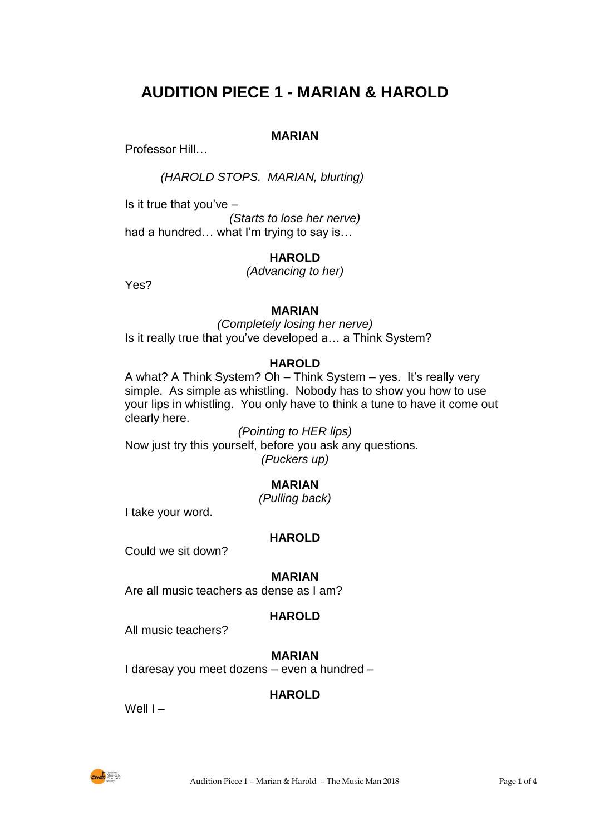# **AUDITION PIECE 1 - MARIAN & HAROLD**

# **MARIAN**

Professor Hill…

*(HAROLD STOPS. MARIAN, blurting)*

Is it true that you've  $-$ 

*(Starts to lose her nerve)* had a hundred… what I'm trying to say is…

# **HAROLD**

*(Advancing to her)*

Yes?

# **MARIAN**

*(Completely losing her nerve)* Is it really true that you've developed a… a Think System?

# **HAROLD**

A what? A Think System? Oh – Think System – yes. It's really very simple. As simple as whistling. Nobody has to show you how to use your lips in whistling. You only have to think a tune to have it come out clearly here.

*(Pointing to HER lips)* Now just try this yourself, before you ask any questions. *(Puckers up)*

# **MARIAN**

*(Pulling back)*

I take your word.

# **HAROLD**

Could we sit down?

# **MARIAN**

Are all music teachers as dense as I am?

# **HAROLD**

All music teachers?

# **MARIAN**

I daresay you meet dozens – even a hundred –

# **HAROLD**

Well I –

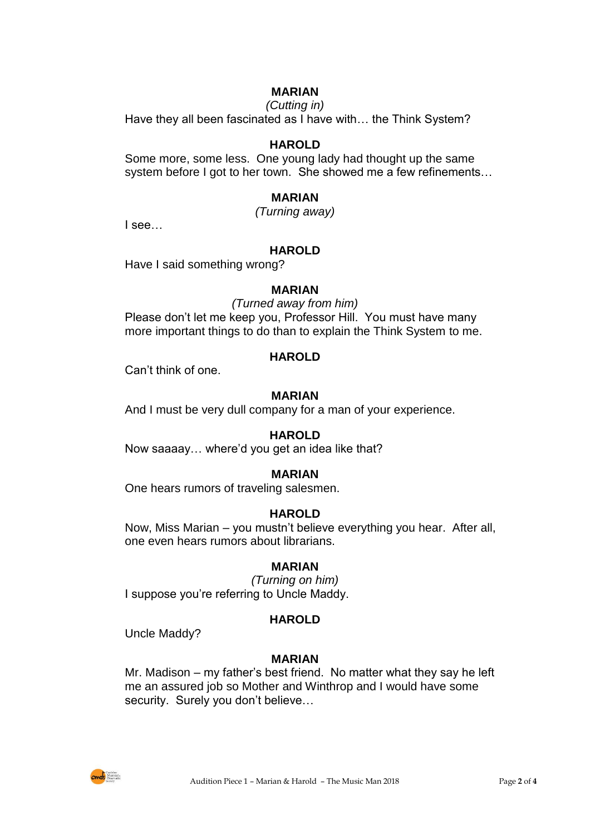# **MARIAN**

#### *(Cutting in)*

Have they all been fascinated as I have with… the Think System?

#### **HAROLD**

Some more, some less. One young lady had thought up the same system before I got to her town. She showed me a few refinements…

#### **MARIAN**

*(Turning away)*

I see…

## **HAROLD**

Have I said something wrong?

#### **MARIAN**

*(Turned away from him)* Please don't let me keep you, Professor Hill. You must have many

more important things to do than to explain the Think System to me.

## **HAROLD**

Can't think of one.

## **MARIAN**

And I must be very dull company for a man of your experience.

#### **HAROLD**

Now saaaay… where'd you get an idea like that?

#### **MARIAN**

One hears rumors of traveling salesmen.

#### **HAROLD**

Now, Miss Marian – you mustn't believe everything you hear. After all, one even hears rumors about librarians.

#### **MARIAN**

*(Turning on him)* I suppose you're referring to Uncle Maddy.

#### **HAROLD**

Uncle Maddy?

#### **MARIAN**

Mr. Madison – my father's best friend. No matter what they say he left me an assured job so Mother and Winthrop and I would have some security. Surely you don't believe...

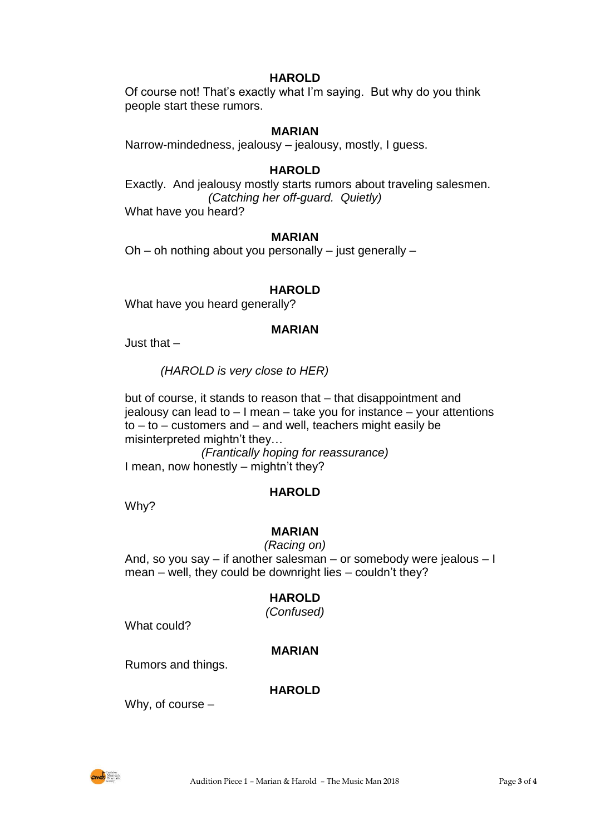## **HAROLD**

Of course not! That's exactly what I'm saying. But why do you think people start these rumors.

## **MARIAN**

Narrow-mindedness, jealousy – jealousy, mostly, I guess.

## **HAROLD**

Exactly. And jealousy mostly starts rumors about traveling salesmen. *(Catching her off-guard. Quietly)* What have you heard?

#### **MARIAN**

Oh – oh nothing about you personally – just generally –

# **HAROLD**

What have you heard generally?

#### **MARIAN**

Just that –

*(HAROLD is very close to HER)*

but of course, it stands to reason that – that disappointment and jealousy can lead to – I mean – take you for instance – your attentions  $to - to - customers$  and  $-$  and well, teachers might easily be misinterpreted mightn't they…

*(Frantically hoping for reassurance)* I mean, now honestly – mightn't they?

#### **HAROLD**

Why?

# **MARIAN**

*(Racing on)* And, so you say – if another salesman – or somebody were jealous – I mean – well, they could be downright lies – couldn't they?

# **HAROLD**

*(Confused)*

What could?

#### **MARIAN**

Rumors and things.

# **HAROLD**

Why, of course –